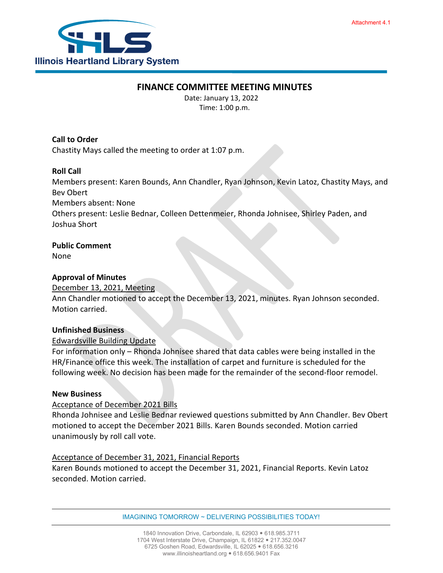

## **FINANCE COMMITTEE MEETING MINUTES**

Date: January 13, 2022 Time: 1:00 p.m.

**Call to Order**

Chastity Mays called the meeting to order at 1:07 p.m.

## **Roll Call**

Members present: Karen Bounds, Ann Chandler, Ryan Johnson, Kevin Latoz, Chastity Mays, and Bev Obert

Members absent: None

Others present: Leslie Bednar, Colleen Dettenmeier, Rhonda Johnisee, Shirley Paden, and Joshua Short

### **Public Comment**

None

### **Approval of Minutes**

#### December 13, 2021, Meeting

Ann Chandler motioned to accept the December 13, 2021, minutes. Ryan Johnson seconded. Motion carried.

#### **Unfinished Business**

#### Edwardsville Building Update

For information only – Rhonda Johnisee shared that data cables were being installed in the HR/Finance office this week. The installation of carpet and furniture is scheduled for the following week. No decision has been made for the remainder of the second-floor remodel.

#### **New Business**

#### Acceptance of December 2021 Bills

Rhonda Johnisee and Leslie Bednar reviewed questions submitted by Ann Chandler. Bev Obert motioned to accept the December 2021 Bills. Karen Bounds seconded. Motion carried unanimously by roll call vote.

#### Acceptance of December 31, 2021, Financial Reports

Karen Bounds motioned to accept the December 31, 2021, Financial Reports. Kevin Latoz seconded. Motion carried.